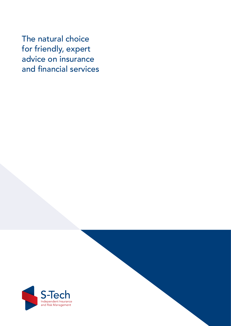The natural choice for friendly, expert advice on insurance and financial services

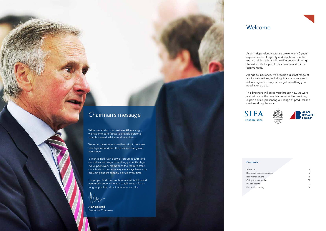As an independent insurance broker with 40 years' experience, our longevity and reputation are the result of doing things a little differently – of going the extra mile for you, for our people and for our communities.

Alongside insurance, we provide a distinct range of additional services, including financial advice and risk management, so you can get everything you need in one place.

This brochure will guide you through how we work and introduce the people committed to providing expert advice, presenting our range of products and services along the way.







### **Contents**

# Welcome

| 4  |
|----|
| 6  |
| 8  |
| 10 |
| 12 |
| 14 |
|    |

When we started the business 40 years ago, we had one core focus: to provide personal, straightforward advice to all our clients.

We must have done something right, because word got around and the business has grown ever since.

S-Tech joined Alan Boswell Group in 2016 and our values and ways of working perfectly align. We expect every member of the team to treat our clients in the same way we always have – by providing expert, friendly advice every time.

I hope you find this brochure useful, but I would very much encourage you to talk to us – for as long as you like, about whatever you like.

Alan Boswell Executive Chairman

2 www.alanboswell.com www.alanboswell.com www.alanboswell.com www.alanboswell.com www.alanboswell.com www.alan



# Chairman's message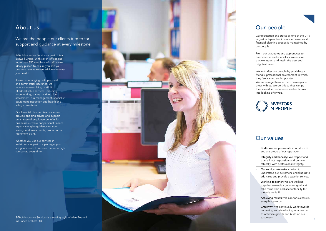Our reputation and status as one of the UK's largest independent insurance brokers and financial planning groups is maintained by our people.

From our graduates and apprentices to our directors and specialists, we ensure that we attract and retain the best and brightest talent.

We look after our people by providing a friendly, professional environment in which they feel valued and supported. We encourage them to train, develop and grow with us. We do this so they can put their expertise, experience and enthusiasm into looking after you.



## We are the people our clients turn to for support and guidance at every milestone



# Our values

- ∙ Pride: We are passionate in what we do and are proud of our reputation.
- ∙ Integrity and honesty: We respect and trust all, act responsibly and behave ethically, with professional integrity.
- ∙ Our service: We make an effort to understand our customers, enabling us to add value and provide a superior service.
- ∙ Working together: We are working together towards a common goal and take ownership and accountability for the role we fulfil.
- ∙ Achieving results: We aim for success in everything we do.
- ∙ Creativity: We continually work towards improving and developing what we do to optimise growth and build on our successes.

S-Tech Insurance Services is part of Alan Boswell Group. With seven offices and more than 350 members of staff, we're ideally placed to ensure you and your business receive expert advice whenever you need it.

As well as arranging both personal and commercial insurance, we have an ever-evolving portfolio of added-value services, including underwriting, claims handling, loss assessment, risk management, specialist equipment inspection and health and safety consultation.

Our financial planning teams can also provide ongoing advice and support on a range of employee benefits for businesses – while our personal finance experts can give guidance on your savings and investments, protection or retirement plans.

Whether you use our services in isolation or as part of a package, you are guaranteed to receive the same high standards, every time.

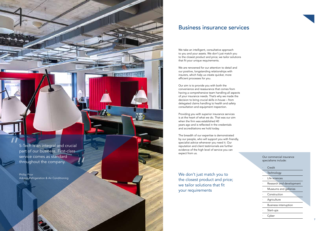We take an intelligent, consultative approach to you and your assets. We don't just match you to the closest product and price; we tailor solutions that fit your unique requirements.

We are renowned for our attention to detail and our positive, longstanding relationships with insurers, which help us create quicker, more efficient processes for you.

Our aim is to provide you with both the convenience and reassurance that comes from having a comprehensive team handling all aspects of your insurance needs. That's why we made the decision to bring crucial skills in-house – from delegated claims handling to health and safety consultation and equipment inspection.

Providing you with superior insurance services is at the heart of what we do. That was our aim when the firm was established 40 years ago and is reflected in the credentials and accreditations we hold today.

The breadth of our expertise is demonstrated by our people, who will support you with friendly, specialist advice whenever you need it. Our reputation and client testimonials are further evidence of the high level of service you can expect from us.

# Business insurance services

We don't just match you to the closest product and price; we tailor solutions that fit your requirements







6 www.alanboswell.com

## Our commercial insurance specialisms include:

- ∙ Credit
- ∙ Technology
- ∙ Life sciences
- ∙ Research and development
- ∙ Museums and galleries
- ∙ Construction
- ∙ Agriculture
- ∙ Business interruption
- ∙ Start-ups
- ∙ Cyber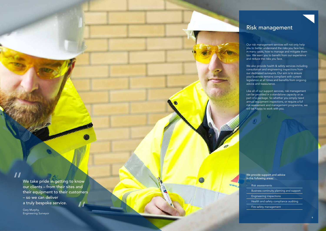# Risk management

We provide support and advice in the following areas:

| <b>Risk assessments</b>                  |
|------------------------------------------|
| Business continuity planning and support |
| <b>Engineering inspections</b>           |
| Health and safety compliance auditing    |
| Fire safety management                   |

# $\boldsymbol{\mathit{II}}$

We take pride in getting to know our clients – from their sites and their equipment to their customers – so we can deliver a truly bespoke service.

a www.alanboswell.com and www.alanboswell.com and www.alanboswell.com and www.alanboswell.com and www.alanbosw

Gary Murphy, Engineering Surveyor www.a

We also provide health & safety services including consultation and engineering inspections from our dedicated surveyors. Our aim is to ensure your business remains compliant with current legislation at all times and benefits from ongoing advice and reassurance.

Our risk management services will not only help you to better understand the risks you face but, in many cases, how to manage and mitigate them too. We want you to benefit from our experience and reduce the risks you face.

Like all of our support services, risk management can be provided in a standalone capacity or as part of a package. So whether you simply need annual equipment inspections, or require a full risk assessment and management programme, we will be happy to work with you.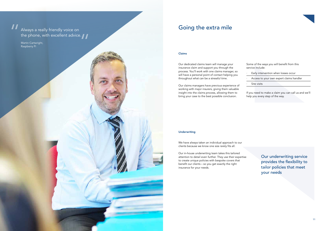Always a really friendly voice on **Extramended Always a really friendly** voice on the phone, with excellent advice.

10 www.alanboswell.com alanboswell.com alanboswell.com alanboswell.com alanboswell.com alanboswell.com alanbos

### Claims

Our dedicated claims team will manage your insurance claim and support you through the process. You'll work with one claims manager, so will have a personal point of contact helping you throughout what can be a stressful time.

Our claims managers have previous experience of working with major insurers, giving them valuable insight into the claims process, allowing them to bring your case to the best possible conclusion.

Some of the ways you will benefit from this service include:

| · Early intervention when losses occur   |
|------------------------------------------|
| Access to your own expert claims handler |
| $\cdot$ Site visits                      |

If you need to make a claim you can call us and we'll help you every step of the way.

## Underwriting

We have always taken an individual approach to our clients because we know one size rarely fits all.

Our in-house underwriting team takes this tailored attention to detail even further. They use their expertise to create unique policies with bespoke covers that benefit our clients – so you get exactly the right insurance for your needs.



Our underwriting service provides the flexibility to tailor policies that meet your needs

Martin Cartwright, Raspberry Pi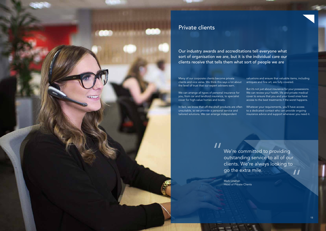

Many of our corporate clients become private clients and vice versa. We think this says a lot about the level of trust that our expert advisers earn.

We can arrange all types of personal insurance for you, from car and landlord insurance, to specialist cover for high-value homes and boats.

In fact, we know that off-the-shelf products are often unsuitable, so we provide a personal service and tailored solutions. We can arrange independent

> $\boldsymbol{\mathit{II}}$ We're committed to providing outstanding service to all of our clients. We're always looking to go the extra mile.  $\boldsymbol{\mathit{II}}$

valuations and ensure that valuable items, including antiques and fine art, are fully covered.

But it's not just about insurance for your possessions. We can review your health, life and private medical cover to ensure that you and your loved ones have access to the best treatments if the worst happens.

Whatever your requirements, you'll have access to a dedicated contact who can provide ongoing insurance advice and support whenever you need it.

Mark Linehan Head of Private Clients

# Private clients

Our industry awards and accreditations tell everyone what sort of organisation we are, but it is the individual care our clients receive that tells them what sort of people we are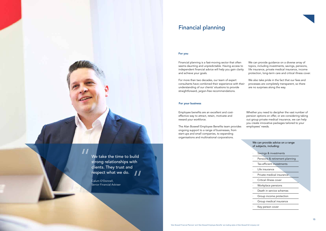We take the time to build strong relationships with clients. They trust and respect what we do.  $\boldsymbol{\mathit{II}}$ 

### For you

# Financial planning

Calum O'Donnell, Senior Financial Adviser

14 www.alanboswell.com alanboswell.com alanboswell.com alanboswell.com alanboswell.com alanboswell.com alanbos

 $\overline{\mathbf{H}}$ 

Employee benefits are an excellent and costeffective way to attract, retain, motivate and reward your workforce.

The Alan Boswell Employee Benefits team provides ongoing support to a range of businesses, from start-ups and small companies, to expanding organisations and multinational corporations.

Whether you need to decipher the vast number of pension options on offer, or are considering taking out group private medical insurance, we can help you create innovative packages tailored to your employees' needs.

## For your business



Financial planning is a fast-moving sector that often seems daunting and unpredictable. Having access to independent financial advice will help you gain clarity and achieve your goals.

For more than two decades, our team of expert consultants have combined their experience with their understanding of our clients' situations to provide straightforward, jargon-free recommendations.

- We can provide guidance on a diverse array of topics, including investments, savings, pensions, life insurance, private medical insurance, income protection, long-term care and critical illness cover.
- We also take pride in the fact that our fees and processes are completely transparent, so there are no surprises along the way.

| We can provide advice on a range<br>of subjects, including: |  |
|-------------------------------------------------------------|--|
| Savings & investments                                       |  |
| Pensions & retirement planning                              |  |
| Tax-efficient investments                                   |  |
| Life insurance                                              |  |
| Private medical insurance                                   |  |
| Critical illness cover                                      |  |
| Workplace pensions                                          |  |
| Death in service schemes                                    |  |
| Group income protection                                     |  |
| Group medical insurance                                     |  |
| Key person cover                                            |  |